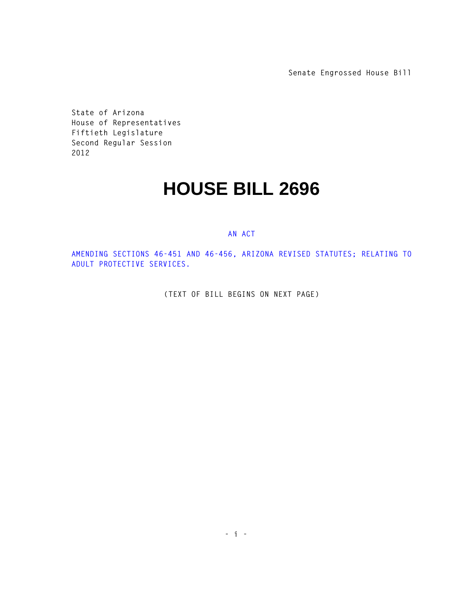**Senate Engrossed House Bill**

**State of Arizona House of Representatives Fiftieth Legislature Second Regular Session 2012** 

## **HOUSE BILL 2696**

## **AN ACT**

**AMENDING SECTIONS 46-451 AND 46-456, ARIZONA REVISED STATUTES; RELATING TO ADULT PROTECTIVE SERVICES.** 

**(TEXT OF BILL BEGINS ON NEXT PAGE)**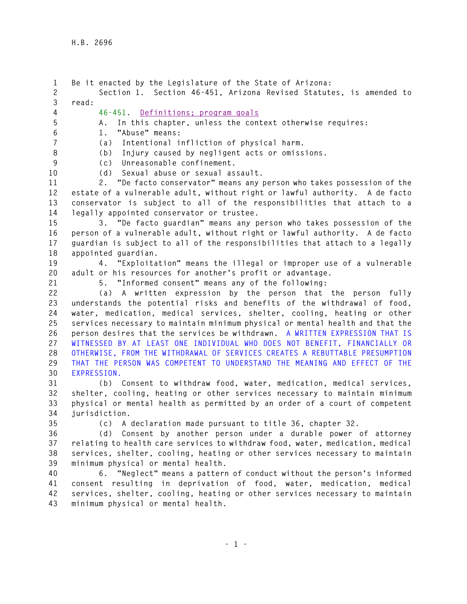**1 Be it enacted by the Legislature of the State of Arizona: 2 Section 1. Section 46-451, Arizona Revised Statutes, is amended to 3 read: 4 46-451. Definitions; program goals 5 A. In this chapter, unless the context otherwise requires: 6 1. "Abuse" means: 7 (a) Intentional infliction of physical harm. 8 (b) Injury caused by negligent acts or omissions. 9 (c) Unreasonable confinement. 10 (d) Sexual abuse or sexual assault. 11 2. "De facto conservator" means any person who takes possession of the 12 estate of a vulnerable adult, without right or lawful authority. A de facto 13 conservator is subject to all of the responsibilities that attach to a 14 legally appointed conservator or trustee. 15 3. "De facto guardian" means any person who takes possession of the 16 person of a vulnerable adult, without right or lawful authority. A de facto 17 guardian is subject to all of the responsibilities that attach to a legally 18 appointed guardian. 19 4. "Exploitation" means the illegal or improper use of a vulnerable 20 adult or his resources for another's profit or advantage. 21 5. "Informed consent" means any of the following: 22 (a) A written expression by the person that the person fully 23 understands the potential risks and benefits of the withdrawal of food, 24 water, medication, medical services, shelter, cooling, heating or other 25 services necessary to maintain minimum physical or mental health and that the 26 person desires that the services be withdrawn. A WRITTEN EXPRESSION THAT IS 27 WITNESSED BY AT LEAST ONE INDIVIDUAL WHO DOES NOT BENEFIT, FINANCIALLY OR 28 OTHERWISE, FROM THE WITHDRAWAL OF SERVICES CREATES A REBUTTABLE PRESUMPTION 29 THAT THE PERSON WAS COMPETENT TO UNDERSTAND THE MEANING AND EFFECT OF THE 30 EXPRESSION. 31 (b) Consent to withdraw food, water, medication, medical services, 32 shelter, cooling, heating or other services necessary to maintain minimum 33 physical or mental health as permitted by an order of a court of competent 34 jurisdiction. 35 (c) A declaration made pursuant to title 36, chapter 32. 36 (d) Consent by another person under a durable power of attorney 37 relating to health care services to withdraw food, water, medication, medical 38 services, shelter, cooling, heating or other services necessary to maintain 39 minimum physical or mental health. 40 6. "Neglect" means a pattern of conduct without the person's informed 41 consent resulting in deprivation of food, water, medication, medical 42 services, shelter, cooling, heating or other services necessary to maintain 43 minimum physical or mental health.**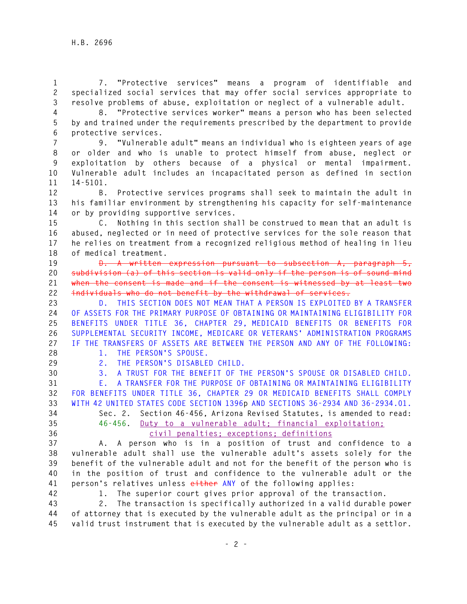**1 7. "Protective services" means a program of identifiable and 2 specialized social services that may offer social services appropriate to 3 resolve problems of abuse, exploitation or neglect of a vulnerable adult.** 

**4 8. "Protective services worker" means a person who has been selected 5 by and trained under the requirements prescribed by the department to provide 6 protective services.** 

**7 9. "Vulnerable adult" means an individual who is eighteen years of age 8 or older and who is unable to protect himself from abuse, neglect or 9 exploitation by others because of a physical or mental impairment. 10 Vulnerable adult includes an incapacitated person as defined in section 11 14-5101.** 

**12 B. Protective services programs shall seek to maintain the adult in 13 his familiar environment by strengthening his capacity for self-maintenance 14 or by providing supportive services.** 

**15 C. Nothing in this section shall be construed to mean that an adult is 16 abused, neglected or in need of protective services for the sole reason that 17 he relies on treatment from a recognized religious method of healing in lieu 18 of medical treatment.** 

**19 D. A written expression pursuant to subsection A, paragraph 5, 20 subdivision (a) of this section is valid only if the person is of sound mind 21 when the consent is made and if the consent is witnessed by at least two 22 individuals who do not benefit by the withdrawal of services.** 

**23 D. THIS SECTION DOES NOT MEAN THAT A PERSON IS EXPLOITED BY A TRANSFER 24 OF ASSETS FOR THE PRIMARY PURPOSE OF OBTAINING OR MAINTAINING ELIGIBILITY FOR 25 BENEFITS UNDER TITLE 36, CHAPTER 29, MEDICAID BENEFITS OR BENEFITS FOR 26 SUPPLEMENTAL SECURITY INCOME, MEDICARE OR VETERANS' ADMINISTRATION PROGRAMS 27 IF THE TRANSFERS OF ASSETS ARE BETWEEN THE PERSON AND ANY OF THE FOLLOWING:** 

**28 1. THE PERSON'S SPOUSE.** 

**29 2. THE PERSON'S DISABLED CHILD.** 

**30 3. A TRUST FOR THE BENEFIT OF THE PERSON'S SPOUSE OR DISABLED CHILD. 31 E. A TRANSFER FOR THE PURPOSE OF OBTAINING OR MAINTAINING ELIGIBILITY 32 FOR BENEFITS UNDER TITLE 36, CHAPTER 29 OR MEDICAID BENEFITS SHALL COMPLY** 

**33 WITH 42 UNITED STATES CODE SECTION 1396p AND SECTIONS 36-2934 AND 36-2934.01.** 

## **34 Sec. 2. Section 46-456, Arizona Revised Statutes, is amended to read: 35 46-456. Duty to a vulnerable adult; financial exploitation; 36 civil penalties; exceptions; definitions**

**37 A. A person who is in a position of trust and confidence to a 38 vulnerable adult shall use the vulnerable adult's assets solely for the 39 benefit of the vulnerable adult and not for the benefit of the person who is 40 in the position of trust and confidence to the vulnerable adult or the 41 person's relatives unless either ANY of the following applies:** 

**42 1. The superior court gives prior approval of the transaction.** 

**43 2. The transaction is specifically authorized in a valid durable power 44 of attorney that is executed by the vulnerable adult as the principal or in a 45 valid trust instrument that is executed by the vulnerable adult as a settlor.**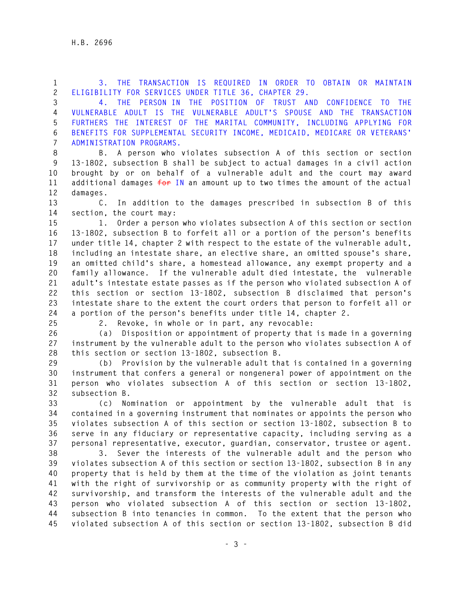**1 3. THE TRANSACTION IS REQUIRED IN ORDER TO OBTAIN OR MAINTAIN 2 ELIGIBILITY FOR SERVICES UNDER TITLE 36, CHAPTER 29.** 

**3 4. THE PERSON IN THE POSITION OF TRUST AND CONFIDENCE TO THE 4 VULNERABLE ADULT IS THE VULNERABLE ADULT'S SPOUSE AND THE TRANSACTION 5 FURTHERS THE INTEREST OF THE MARITAL COMMUNITY, INCLUDING APPLYING FOR 6 BENEFITS FOR SUPPLEMENTAL SECURITY INCOME, MEDICAID, MEDICARE OR VETERANS' 7 ADMINISTRATION PROGRAMS.** 

**8 B. A person who violates subsection A of this section or section 9 13-1802, subsection B shall be subject to actual damages in a civil action 10 brought by or on behalf of a vulnerable adult and the court may award 11 additional damages for IN an amount up to two times the amount of the actual 12 damages.** 

**13 C. In addition to the damages prescribed in subsection B of this 14 section, the court may:** 

**15 1. Order a person who violates subsection A of this section or section 16 13-1802, subsection B to forfeit all or a portion of the person's benefits 17 under title 14, chapter 2 with respect to the estate of the vulnerable adult, 18 including an intestate share, an elective share, an omitted spouse's share, 19 an omitted child's share, a homestead allowance, any exempt property and a 20 family allowance. If the vulnerable adult died intestate, the vulnerable 21 adult's intestate estate passes as if the person who violated subsection A of 22 this section or section 13-1802, subsection B disclaimed that person's 23 intestate share to the extent the court orders that person to forfeit all or 24 a portion of the person's benefits under title 14, chapter 2.** 

**25 2. Revoke, in whole or in part, any revocable:** 

**26 (a) Disposition or appointment of property that is made in a governing 27 instrument by the vulnerable adult to the person who violates subsection A of 28 this section or section 13-1802, subsection B.** 

**29 (b) Provision by the vulnerable adult that is contained in a governing 30 instrument that confers a general or nongeneral power of appointment on the 31 person who violates subsection A of this section or section 13-1802, 32 subsection B.** 

**33 (c) Nomination or appointment by the vulnerable adult that is 34 contained in a governing instrument that nominates or appoints the person who 35 violates subsection A of this section or section 13-1802, subsection B to 36 serve in any fiduciary or representative capacity, including serving as a 37 personal representative, executor, guardian, conservator, trustee or agent.** 

**38 3. Sever the interests of the vulnerable adult and the person who 39 violates subsection A of this section or section 13-1802, subsection B in any 40 property that is held by them at the time of the violation as joint tenants 41 with the right of survivorship or as community property with the right of 42 survivorship, and transform the interests of the vulnerable adult and the 43 person who violated subsection A of this section or section 13-1802, 44 subsection B into tenancies in common. To the extent that the person who 45 violated subsection A of this section or section 13-1802, subsection B did**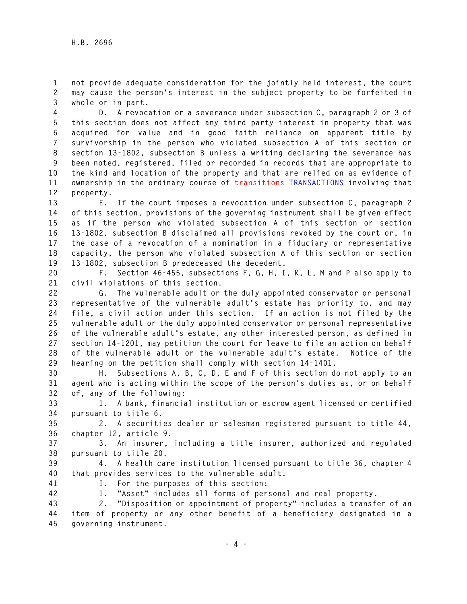**1 not provide adequate consideration for the jointly held interest, the court 2 may cause the person's interest in the subject property to be forfeited in 3 whole or in part.** 

**4 D. A revocation or a severance under subsection C, paragraph 2 or 3 of 5 this section does not affect any third party interest in property that was 6 acquired for value and in good faith reliance on apparent title by 7 survivorship in the person who violated subsection A of this section or 8 section 13-1802, subsection B unless a writing declaring the severance has 9 been noted, registered, filed or recorded in records that are appropriate to 10 the kind and location of the property and that are relied on as evidence of 11 ownership in the ordinary course of transitions TRANSACTIONS involving that 12 property.** 

**13 E. If the court imposes a revocation under subsection C, paragraph 2 14 of this section, provisions of the governing instrument shall be given effect 15 as if the person who violated subsection A of this section or section 16 13-1802, subsection B disclaimed all provisions revoked by the court or, in 17 the case of a revocation of a nomination in a fiduciary or representative 18 capacity, the person who violated subsection A of this section or section 19 13-1802, subsection B predeceased the decedent.** 

**20 F. Section 46-455, subsections F, G, H, I, K, L, M and P also apply to 21 civil violations of this section.** 

**22 G. The vulnerable adult or the duly appointed conservator or personal 23 representative of the vulnerable adult's estate has priority to, and may 24 file, a civil action under this section. If an action is not filed by the 25 vulnerable adult or the duly appointed conservator or personal representative 26 of the vulnerable adult's estate, any other interested person, as defined in 27 section 14-1201, may petition the court for leave to file an action on behalf 28 of the vulnerable adult or the vulnerable adult's estate. Notice of the 29 hearing on the petition shall comply with section 14-1401.** 

**30 H. Subsections A, B, C, D, E and F of this section do not apply to an 31 agent who is acting within the scope of the person's duties as, or on behalf 32 of, any of the following:** 

**33 1. A bank, financial institution or escrow agent licensed or certified 34 pursuant to title 6.** 

**35 2. A securities dealer or salesman registered pursuant to title 44, 36 chapter 12, article 9.** 

**37 3. An insurer, including a title insurer, authorized and regulated 38 pursuant to title 20.** 

**39 4. A health care institution licensed pursuant to title 36, chapter 4 40 that provides services to the vulnerable adult.** 

**41 I. For the purposes of this section:** 

**42 1. "Asset" includes all forms of personal and real property.** 

**43 2. "Disposition or appointment of property" includes a transfer of an 44 item of property or any other benefit of a beneficiary designated in a 45 governing instrument.**